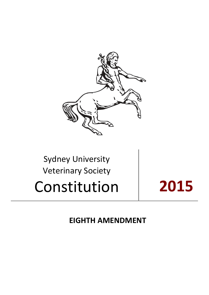

# Sydney University Veterinary Society Constitution **2015**

**EIGHTH AMENDMENT**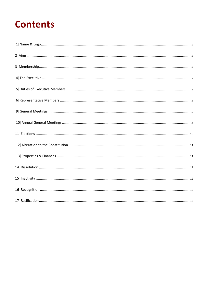# **Contents**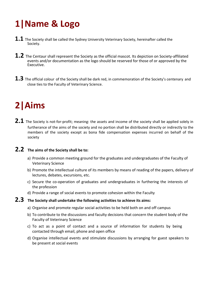# <span id="page-2-0"></span>**1|Name & Logo**

- **1.1** The Society shall be called the Sydney University Veterinary Society, hereinafter called the Society.
- **1.2** The Centaur shall represent the Society as the official mascot. Its depiction on Society-affiliated events and/or documentation as the logo should be reserved for those of or approved by the Executive.
- **1.3** The official colour of the Society shall be dark red, in commemoration of the Society's centenary and close ties to the Faculty of Veterinary Science.

### **2|Aims**

2.1 The Society is not-for-profit; meaning: the assets and income of the society shall be applied solely in furtherance of the aims of the society and no portion shall be distributed directly or indirectly to the members of the society except as bona fide compensation expenses incurred on behalf of the society

#### **2.2 The aims of the Society shall be to:**

- a) Provide a common meeting ground for the graduates and undergraduates of the Faculty of Veterinary Science
- b) Promote the intellectual culture of its members by means of reading of the papers, delivery of lectures, debates, excursions, etc.
- c) Secure the co-operation of graduates and undergraduates in furthering the interests of the profession
- d) Provide a range of social events to promote cohesion within the Faculty

### **2.3 The Society shall undertake the following activities to achieve its aims:**

- a) Organise and promote regular social activities to be held both on and off campus
- b) To contribute to the discussions and faculty decisions that concern the student body of the Faculty of Veterinary Science
- c) To act as a point of contact and a source of information for students by being contacted through email, phone and open office
- d) Organise intellectual events and stimulate discussions by arranging for guest speakers to be present at social events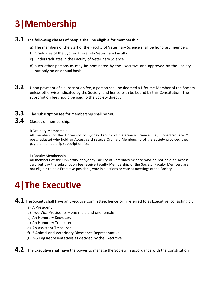# <span id="page-3-0"></span>**3|Membership**

#### **3.1 The following classes of people shall be eligible for membership:**

- a) The members of the Staff of the Faculty of Veterinary Science shall be honorary members
- b) Graduates of the Sydney University Veterinary Faculty
- c) Undergraduates in the Faculty of Veterinary Science
- d) Such other persons as may be nominated by the Executive and approved by the Society, but only on an annual basis
- **3.2** Upon payment of a subscription fee, a person shall be deemed a Lifetime Member of the Society unless otherwise indicated by the Society, and henceforth be bound by this Constitution. The subscription fee should be paid to the Society directly.
- **3.3** The subscription fee for membership shall be \$80.
- **3.4** Classes of membership:
	- i) Ordinary Membership

All members of the University of Sydney Faculty of Veterinary Science (i.e., undergraduate & postgraduate) who hold an Access card receive Ordinary Membership of the Society provided they pay the membership subscription fee.

ii) Faculty Membership

All members of the University of Sydney Faculty of Veterinary Science who do not hold an Access card but pay the subscription fee receive Faculty Membership of the Society, Faculty Members are not eligible to hold Executive positions, vote in elections or vote at meetings of the Society

### **4|The Executive**

**4.1** The Society shall have an Executive Committee, henceforth referred to as Executive, consisting of:

- a) A President
- b) Two Vice Presidents one male and one female
- c) An Honorary Secretary
- d) An Honorary Treasurer
- e) An Assistant Treasurer
- f) 2 Animal and Veterinary Bioscience Representative
- g) 3-6 Keg Representatives as decided by the Executive
- **4.2** The Executive shall have the power to manage the Society in accordance with the Constitution.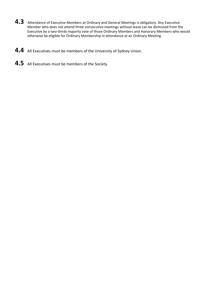- 4.3 Attendance of Executive Members at Ordinary and General Meetings is obligatory. Any Executive Member who does not attend three consecutive meetings without leave can be dismissed from the Executive by a two-thirds majority vote of those Ordinary Members and Honorary Members who would otherwise be eligible for Ordinary Membership in attendance at an Ordinary Meeting.
- **4.4** All Executives must be members of the University of Sydney Union.
- **4.5** All Executives must be members of the Society.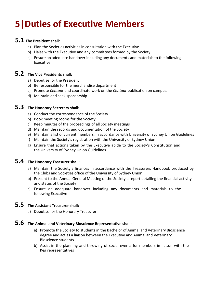### <span id="page-5-0"></span>**5|Duties of Executive Members**

#### **5.1 The President shall:**

- a) Plan the Societies activities in consultation with the Executive
- b) Liaise with the Executive and any committees formed by the Society
- c) Ensure an adequate handover including any documents and materials to the following Executive

#### **5.2 The Vice Presidents shall:**

- a) Deputise for the President
- b) Be responsible for the merchandise department
- c) Promote *Centaur* and coordinate work on the *Centaur* publication on campus.
- d) Maintain and seek sponsorship

### **5.3 The Honorary Secretary shall:**

- a) Conduct the correspondence of the Society
- b) Book meeting rooms for the Society
- c) Keep minutes of the proceedings of all Society meetings
- d) Maintain the records and documentation of the Society
- e) Maintain a list of current members, in accordance with University of Sydney Union Guidelines
- f) Maintain the Society's registration with the University of Sydney Union
- g) Ensure that actions taken by the Executive abide to the Society's Constitution and the University of Sydney Union Guidelines

### **5.4 The Honorary Treasurer shall:**

- a) Maintain the Society's finances in accordance with the Treasurers Handbook produced by the Clubs and Societies office of the University of Sydney Union
- b) Present to the Annual General Meeting of the Society a report detailing the financial activity and status of the Society
- c) Ensure an adequate handover including any documents and materials to the following Executive

### **5.5 The Assistant Treasurer shall:**

a) Deputise for the Honorary Treasurer

### **5.6 The Animal and Veterinary Bioscience Representative shall:**

- a) Promote the Society to students in the Bachelor of Animal and Veterinary Bioscience degree and act as a liaison between the Executive and Animal and Veterinary Bioscience students
- b) Assist in the planning and throwing of social events for members in liaison with the Keg representatives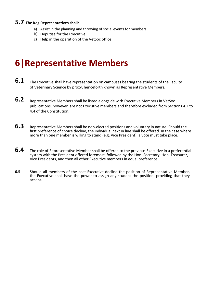#### <span id="page-6-0"></span>**5.7 The Keg Representatives shall:**

- a) Assist in the planning and throwing of social events for members
- b) Deputise for the Executive
- c) Help in the operation of the VetSoc office

### **6|Representative Members**

- **6.1** The Executive shall have representation on campuses bearing the students of the Faculty of Veterinary Science by proxy, henceforth known as Representative Members.
- **6.2** Representative Members shall be listed alongside with Executive Members in VetSoc publications, however, are not Executive members and therefore excluded from Sections 4.2 to 4.4 of the Constitution.
- **6.3** Representative Members shall be non-elected positions and voluntary in nature. Should the first preference of choice decline, the individual next in line shall be offered. In the case where more than one member is willing to stand (e.g. Vice President), a vote must take place.
- **6.4** The role of Representative Member shall be offered to the previous Executive in a preferential system with the President offered foremost, followed by the Hon. Secretary, Hon. Treasurer, Vice Presidents, and then all other Executive members in equal preference.
- **6.5** Should all members of the past Executive decline the position of Representative Member, the Executive shall have the power to assign any student the position, providing that they accept.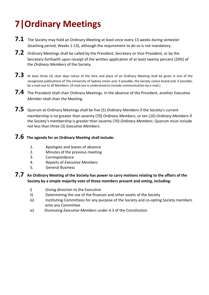# <span id="page-7-0"></span>**7|Ordinary Meetings**

- **7.1** The Society may hold an Ordinary Meeting at least once every 13 weeks during semester (teaching period, Weeks 1-13), although the requirement to do so is not mandatory.
- **7.2** Ordinary Meetings shall be called by the President, Secretary or Vice-President, or by the Secretary forthwith upon receipt of the written application of at least twenty percent (20%) of the *Ordinary Members* of the Society.
- **7.3** At least three (3) clear days notice of the time and place of an Ordinary Meeting shall be given in one of the recognised publications of The University of Sydney Union and, if possible, the Society notice board and, if possible, by a mail-out to all Members. (A mail-out is understood to include communication by e-mail.)
- **7.4** The President shall chair Ordinary Meetings. In the absence of the President, another *Executive Member* shall chair the Meeting.
- **7.5** Quorum at Ordinary Meetings shall be five (5) *Ordinary Members* if the Society's current membership is no greater than seventy (70) *Ordinary Members*, or ten (10) *Ordinary Members* if the Society's membership is greater than seventy (70) *Ordinary Members*. Quorum must include not less than three (3) *Executive Members*.

#### **7.6 The agenda for an Ordinary Meeting shall include:**

- 1. Apologies and leaves of absence
- 2. Minutes of the previous meeting
- 3. Correspondence
- 4. Reports of *Executive Members*
- 5. General Business

#### **7.7 An Ordinary Meeting of the Society has power to carry motions relating to the affairs of the Society by a simple majority vote of those members present and voting, including:**

- i) Giving direction to the Executive
- ii) Determining the use of the finances and other assets of the Society
- iii) Instituting Committees for any purpose of the Society and co-opting Society members onto any Committee
- iv) Dismissing *Executive Members* under 4.3 of the Constitution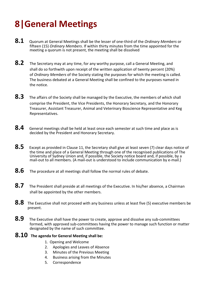# **8|General Meetings**

- **8.1** Quorum at General Meetings shall be the lesser of one-third of the *Ordinary Members* or fifteen (15) *Ordinary Members*. If within thirty minutes from the time appointed for the meeting a quorum is not present, the meeting shall be dissolved
- **8.2** The Secretary may at any time, for any worthy purpose, call a General Meeting, and shall do so forthwith upon receipt of the written application of twenty percent (20%) of *Ordinary Members* of the Society stating the purposes for which the meeting is called. The business debated at a General Meeting shall be confined to the purposes named in the notice.
- **8.3** The affairs of the Society shall be managed by the Executive, the members of which shall comprise the President, the Vice Presidents, the Honorary Secretary, and the Honorary Treasurer, Assistant Treasurer, Animal and Veterinary Bioscience Representative and Keg Representatives.
- **8.4** General meetings shall be held at least once each semester at such time and place as is decided by the President and Honorary Secretary.
- **8.5** Except as provided in Clause 11, the Secretary shall give at least seven (7) clear days notice of the time and place of a General Meeting through one of the recognised publications of The University of Sydney Union and, if possible, the Society notice board and, if possible, by a mail-out to all members. (A mail-out is understood to include communication by e-mail.)
- **8.6** The procedure at all meetings shall follow the normal rules of debate.
- **8.7** The President shall preside at all meetings of the Executive. In his/her absence, a Chairman shall be appointed by the other members.
- **8.8** The Executive shall not proceed with any business unless at least five (5) executive members be present.
- **8.9** The Executive shall have the power to create, approve and dissolve any sub-committees formed, with approved sub-committees having the power to manage such function or matter designated by the name of such committee.

#### **8.10 The agenda for General Meeting shall be:**

- 1. Opening and Welcome
- 2. Apologies and Leaves of Absence
- 3. Minutes of the Previous Meeting
- 4. Business arising from the Minutes
- 5. Correspondence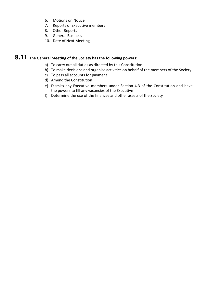- 6. Motions on Notice
- 7. Reports of Executive members
- 8. Other Reports
- 9. General Business
- 10. Date of Next Meeting

### **8.11 The General Meeting of the Society has the following powers:**

- a) To carry out all duties as directed by this Constitution
- b) To make decisions and organise activities on behalf of the members of the Society
- c) To pass all accounts for payment
- d) Amend the Constitution
- e) Dismiss any Executive members under Section 4.3 of the Constitution and have the powers to fill any vacancies of the Executive
- f) Determine the use of the finances and other assets of the Society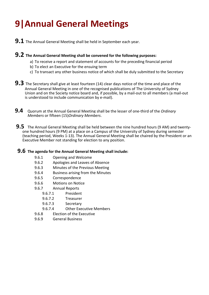# <span id="page-10-0"></span>**9|Annual General Meetings**

- **9.1** The Annual General Meeting shall be held in September each year.
- **9.2 The Annual General Meeting shall be convened for the following purposes:**
	- a) To receive a report and statement of accounts for the preceding financial period
	- b) To elect an Executive for the ensuing term
	- c) To transact any other business notice of which shall be duly submitted to the Secretary
- **9.3** The Secretary shall give at least fourteen (14) clear days notice of the time and place of the Annual General Meeting in one of the recognised publications of The University of Sydney Union and on the Society notice board and, if possible, by a mail-out to all members (a mail-out is understood to include communication by e-mail).
- **9.4** Quorum at the Annual General Meeting shall be the lesser of one-third of the *Ordinary Members* or fifteen (15)*Ordinary Members*.
- **9.5** The Annual General Meeting shall be held between the nine hundred hours (9 AM) and twentyone hundred hours (9 PM) at a place on a Campus of the University of Sydney during semester (teaching period, Weeks 1-13). The Annual General Meeting shall be chaired by the President or an Executive Member not standing for election to any position.

#### **9.6 The agenda for the Annual General Meeting shall include:**

- 9.6.1 Opening and Welcome
- 9.6.2 Apologies and Leaves of Absence
- 9.6.3 Minutes of the Previous Meeting
- 9.6.4 Business arising from the Minutes
- 9.6.5 Correspondence
- 9.6.6 Motions on Notice
- 9.6.7 Annual Reports
	- 9.6.7.1 President
	- 9.6.7.2 Treasurer
	- 9.6.7.3 Secretary
	- 9.6.7.4 Other Executive Members
- 9.6.8 Election of the Executive
- 9.6.9 General Business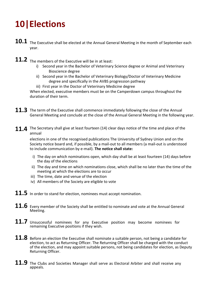# <span id="page-11-0"></span>**10|Elections**

- **10.1** The Executive shall be elected at the Annual General Meeting in the month of September each year.
- **11.2** The members of the Executive will be in at least:
	- i) Second year in the Bachelor of Veterinary Science degree or Animal and Veterinary Bioscience degree
	- ii) Second year in the Bachelor of Veterinary Biology/Doctor of Veterinary Medicine degree and specifically in the AVBS progression pathway
	- iii) First year in the Doctor of Veterinary Medicine degree

When elected, executive members must be on the Camperdown campus throughout the duration of their term.

- **11.3** The term of the Executive shall commence immediately following the close of the Annual General Meeting and conclude at the close of the Annual General Meeting in the following year.
- **11.4** The Secretary shall give at least fourteen (14) clear days notice of the time and place of the annual

elections in one of the recognised publications The University of Sydney Union and on the Society notice board and, if possible, by a mail-out to all members (a mail-out is understood to include communication by e-mail). **The notice shall state:**

- i) The day on which nominations open, which day shall be at least fourteen (14) days before the day of the elections
- ii) The day and time on which nominations close, which shall be no later than the time of the meeting at which the elections are to occur
- iii) The time, date and venue of the election
- iv) All members of the Society are eligible to vote
- 11.5 In order to stand for election, nominees must accept nomination.
- **11.6** Every member of the Society shall be entitled to nominate and vote at the Annual General Meeting.
- **11.7** Unsuccessful nominees for any Executive position may become nominees for remaining Executive positions if they wish.
- **11.8** Before an election the Executive shall nominate a suitable person, not being a candidate for election, to act as Returning Officer. The Returning Officer shall be charged with the conduct of the election, and may appoint suitable persons, not being candidates for election, as Deputy Returning Officer.
- 11.9 The Clubs and Societies Manager shall serve as Electoral Arbiter and shall receive any appeals.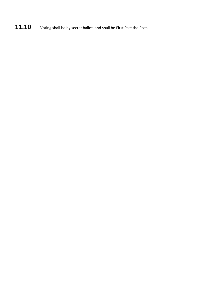11.10 Voting shall be by secret ballot, and shall be First Past the Post.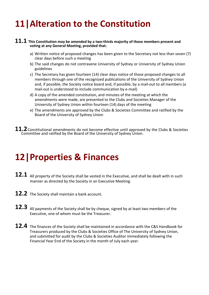### <span id="page-13-0"></span>**11|Alteration to the Constitution**

#### **11.1 This Constitution may be amended by a two-thirds majority of those members present and voting at any General Meeting, provided that:**

- a) Written notice of proposed changes has been given to the Secretary not less than seven (7) clear days before such a meeting
- b) The said changes do not contravene University of Sydney or University of Sydney Union guidelines
- c) The Secretary has given fourteen (14) clear days notice of those proposed changes to all members through one of the recognized publications of the University of Sydney Union and, if possible, the Society notice board and, if possible, by a mail-out to all members (a mail-out is understood to include communication by e-mail)
- d) A copy of the amended constitution, and minutes of the meeting at which the amendments were made, are presented to the Clubs and Societies Manager of the University of Sydney Union within fourteen (14) days of the meeting
- e) The amendments are approved by the Clubs & Societies Committee and ratified by the Board of the University of Sydney Union
- **11.2**Constitutional amendments do not become effective until approved by the Clubs & Societies Committee and ratified by the Board of the University of Sydney Union.

### **12|Properties & Finances**

- **12.1** All property of the Society shall be vested in the Executive, and shall be dealt with in such manner as directed by the Society in an Executive Meeting.
- **12.2** The Society shall maintain a bank account.
- **12.3** All payments of the Society shall be by cheque, signed by at least two members of the Executive, one of whom must be the Treasurer.
- **12.4** The finances of the Society shall be maintained in accordance with the C&S Handbook for Treasurers produced by the Clubs & Societies Office of The University of Sydney Union, and submitted for audit by the Clubs & Societies Auditor immediately following the Financial Year End of the Society in the month of July each year.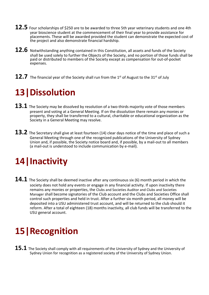- **12.5** Four scholarships of \$250 are to be awarded to three 5th year veterinary students and one 4th year bioscience student at the commencement of their final year to provide assistance for placements. These will be awarded provided the student can demonstrate the expected cost of the project and also demonstrate financial hardship.
- 12.6 Notwithstanding anything contained in this Constitution, all assets and funds of the Society shall be used solely to further the Objects of the Society, and no portion of those funds shall be paid or distributed to members of the Society except as compensation for out-of-pocket expenses.
- <span id="page-14-0"></span> $\bf 12.7$  The financial year of the Society shall run from the 1st of August to the 31st of July

### **13|Dissolution**

- **13.1** The Society may be dissolved by resolution of a two-thirds majority vote of those members present and voting at a General Meeting. If on the dissolution there remain any monies or property, they shall be transferred to a cultural, charitable or educational organization as the Society in a General Meeting may resolve.
- 13.2 The Secretary shall give at least fourteen (14) clear days notice of the time and place of such a General Meeting through one of the recognized publications of the University of Sydney Union and, if possible, the Society notice board and, if possible, by a mail-out to all members (a mail-out is understood to include communication by e-mail).

### **14|Inactivity**

**14.1** The Society shall be deemed inactive after any continuous six (6) month period in which the society does not hold any events or engage in any financial activity. If upon inactivity there remains any monies or properties, the Clubs and Societies Auditor and Clubs and Societies Manager shall become signatories of the Club account and the Clubs and Societies Office shall control such properties and held in trust. After a further six month period, all money will be deposited into a USU administered trust account, and will be returned to the club should it reform. After a total of eighteen (18) months inactivity, all club funds will be transferred to the USU general account.

### **15|Recognition**

**15.1** The Society shall comply with all requirements of the University of Sydney and the University of Sydney Union for recognition as a registered society of the University of Sydney Union.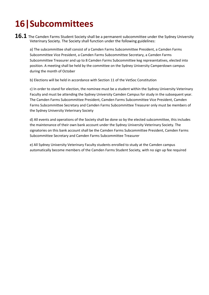# <span id="page-15-0"></span>**16|Subcommittees**

**16.1** The Camden Farms Student Society shall be a permanent subcommittee under the Sydney University Veterinary Society. The Society shall function under the following guidelines:

a) The subcommittee shall consist of a Camden Farms Subcommittee President, a Camden Farms Subcommittee Vice President, a Camden Farms Subcommittee Secretary, a Camden Farms Subcommittee Treasurer and up to 8 Camden Farms Subcommittee keg representatives, elected into position. A meeting shall be held by the committee on the Sydney University Camperdown campus during the month of October

b) Elections will be held in accordance with Section 11 of the VetSoc Constitution

c) In order to stand for election, the nominee must be a student within the Sydney University Veterinary Faculty and must be attending the Sydney University Camden Campus for study in the subsequent year. The Camden Farms Subcommittee President, Camden Farms Subcommittee Vice President, Camden Farms Subcommittee Secretary and Camden Farms Subcommittee Treasurer only must be members of the Sydney University Veterinary Society

d) All events and operations of the Society shall be done so by the elected subcommittee, this includes the maintenance of their own bank account under the Sydney University Veterinary Society. The signatories on this bank account shall be the Camden Farms Subcommittee President, Camden Farms Subcommittee Secretary and Camden Farms Subcommittee Treasurer

e) All Sydney University Veterinary Faculty students enrolled to study at the Camden campus automatically become members of the Camden Farms Student Society, with no sign up fee required